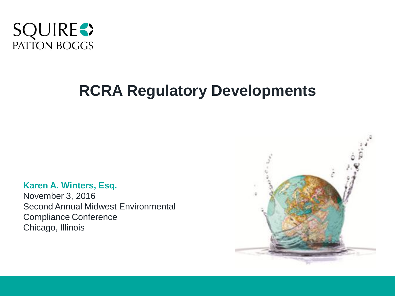

# **RCRA Regulatory Developments**

#### **Karen A. Winters, Esq.**

November 3, 2016 Second Annual Midwest Environmental Compliance Conference Chicago, Illinois

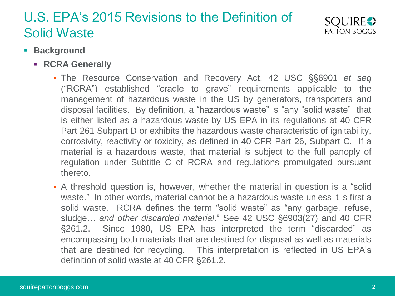

- **Background**
	- **RCRA Generally**
		- The Resource Conservation and Recovery Act, 42 USC §§6901 *et seq* ("RCRA") established "cradle to grave" requirements applicable to the management of hazardous waste in the US by generators, transporters and disposal facilities. By definition, a "hazardous waste" is "any "solid waste" that is either listed as a hazardous waste by US EPA in its regulations at 40 CFR Part 261 Subpart D or exhibits the hazardous waste characteristic of ignitability, corrosivity, reactivity or toxicity, as defined in 40 CFR Part 26, Subpart C. If a material is a hazardous waste, that material is subject to the full panoply of regulation under Subtitle C of RCRA and regulations promulgated pursuant thereto.
		- A threshold question is, however, whether the material in question is a "solid waste." In other words, material cannot be a hazardous waste unless it is first a solid waste. RCRA defines the term "solid waste" as "any garbage, refuse, sludge… *and other discarded material*." See 42 USC §6903(27) and 40 CFR §261.2. Since 1980, US EPA has interpreted the term "discarded" as encompassing both materials that are destined for disposal as well as materials that are destined for recycling. This interpretation is reflected in US EPA's definition of solid waste at 40 CFR §261.2.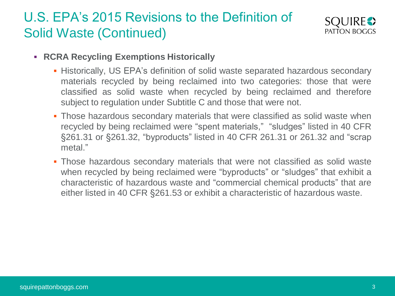

- **RCRA Recycling Exemptions Historically**
	- **Historically, US EPA's definition of solid waste separated hazardous secondary** materials recycled by being reclaimed into two categories: those that were classified as solid waste when recycled by being reclaimed and therefore subject to regulation under Subtitle C and those that were not.
	- **Those hazardous secondary materials that were classified as solid waste when** recycled by being reclaimed were "spent materials," "sludges" listed in 40 CFR §261.31 or §261.32, "byproducts" listed in 40 CFR 261.31 or 261.32 and "scrap metal."
	- Those hazardous secondary materials that were not classified as solid waste when recycled by being reclaimed were "byproducts" or "sludges" that exhibit a characteristic of hazardous waste and "commercial chemical products" that are either listed in 40 CFR §261.53 or exhibit a characteristic of hazardous waste.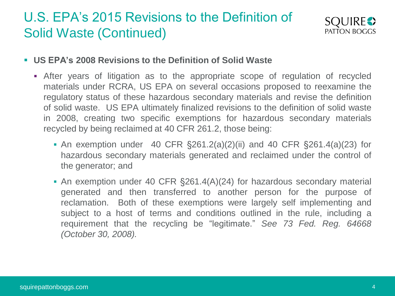

#### **US EPA's 2008 Revisions to the Definition of Solid Waste**

- After years of litigation as to the appropriate scope of regulation of recycled materials under RCRA, US EPA on several occasions proposed to reexamine the regulatory status of these hazardous secondary materials and revise the definition of solid waste. US EPA ultimately finalized revisions to the definition of solid waste in 2008, creating two specific exemptions for hazardous secondary materials recycled by being reclaimed at 40 CFR 261.2, those being:
	- An exemption under 40 CFR  $\S 261.2(a)(2)(ii)$  and 40 CFR  $\S 261.4(a)(23)$  for hazardous secondary materials generated and reclaimed under the control of the generator; and
	- An exemption under 40 CFR §261.4(A)(24) for hazardous secondary material generated and then transferred to another person for the purpose of reclamation. Both of these exemptions were largely self implementing and subject to a host of terms and conditions outlined in the rule, including a requirement that the recycling be "legitimate." *See 73 Fed. Reg. 64668 (October 30, 2008).*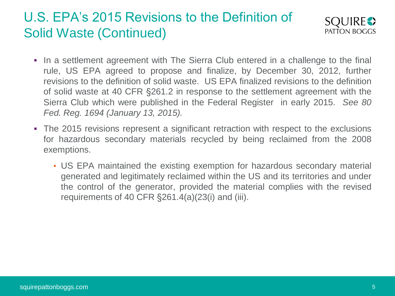

- In a settlement agreement with The Sierra Club entered in a challenge to the final rule, US EPA agreed to propose and finalize, by December 30, 2012, further revisions to the definition of solid waste. US EPA finalized revisions to the definition of solid waste at 40 CFR §261.2 in response to the settlement agreement with the Sierra Club which were published in the Federal Register in early 2015. *See 80 Fed. Reg. 1694 (January 13, 2015).*
- The 2015 revisions represent a significant retraction with respect to the exclusions for hazardous secondary materials recycled by being reclaimed from the 2008 exemptions.
	- US EPA maintained the existing exemption for hazardous secondary material generated and legitimately reclaimed within the US and its territories and under the control of the generator, provided the material complies with the revised requirements of 40 CFR §261.4(a)(23(i) and (iii).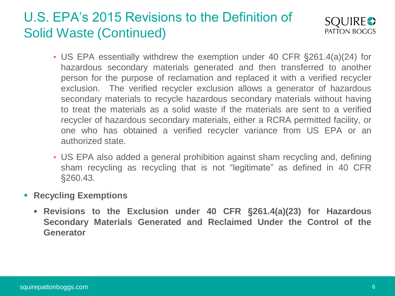

- US EPA essentially withdrew the exemption under 40 CFR §261.4(a)(24) for hazardous secondary materials generated and then transferred to another person for the purpose of reclamation and replaced it with a verified recycler exclusion. The verified recycler exclusion allows a generator of hazardous secondary materials to recycle hazardous secondary materials without having to treat the materials as a solid waste if the materials are sent to a verified recycler of hazardous secondary materials, either a RCRA permitted facility, or one who has obtained a verified recycler variance from US EPA or an authorized state.
- US EPA also added a general prohibition against sham recycling and, defining sham recycling as recycling that is not "legitimate" as defined in 40 CFR §260.43.
- **Recycling Exemptions** 
	- **Revisions to the Exclusion under 40 CFR** §**261.4(a)(23) for Hazardous Secondary Materials Generated and Reclaimed Under the Control of the Generator**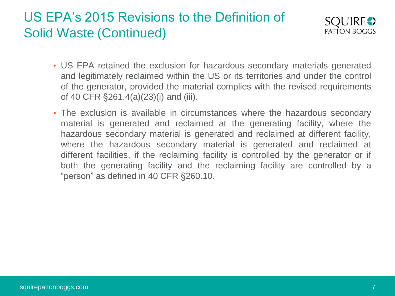

- US EPA retained the exclusion for hazardous secondary materials generated and legitimately reclaimed within the US or its territories and under the control of the generator, provided the material complies with the revised requirements of 40 CFR §261.4(a)(23)(i) and (iii).
- The exclusion is available in circumstances where the hazardous secondary material is generated and reclaimed at the generating facility, where the hazardous secondary material is generated and reclaimed at different facility, where the hazardous secondary material is generated and reclaimed at different facilities, if the reclaiming facility is controlled by the generator or if both the generating facility and the reclaiming facility are controlled by a "person" as defined in 40 CFR §260.10.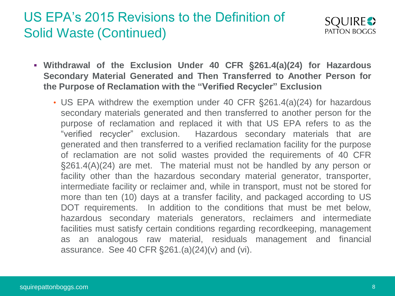

- **Withdrawal of the Exclusion Under 40 CFR** §**261.4(a)(24) for Hazardous Secondary Material Generated and Then Transferred to Another Person for the Purpose of Reclamation with the "Verified Recycler" Exclusion**
	- US EPA withdrew the exemption under 40 CFR §261.4(a)(24) for hazardous secondary materials generated and then transferred to another person for the purpose of reclamation and replaced it with that US EPA refers to as the "verified recycler" exclusion. Hazardous secondary materials that are generated and then transferred to a verified reclamation facility for the purpose of reclamation are not solid wastes provided the requirements of 40 CFR §261.4(A)(24) are met. The material must not be handled by any person or facility other than the hazardous secondary material generator, transporter, intermediate facility or reclaimer and, while in transport, must not be stored for more than ten (10) days at a transfer facility, and packaged according to US DOT requirements. In addition to the conditions that must be met below, hazardous secondary materials generators, reclaimers and intermediate facilities must satisfy certain conditions regarding recordkeeping, management as an analogous raw material, residuals management and financial assurance. See 40 CFR §261.(a)(24)(v) and (vi).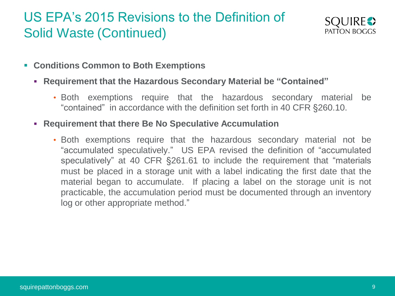

- **Conditions Common to Both Exemptions**
	- **Requirement that the Hazardous Secondary Material be "Contained"**
		- Both exemptions require that the hazardous secondary material be "contained" in accordance with the definition set forth in 40 CFR §260.10.
	- **Requirement that there Be No Speculative Accumulation**
		- Both exemptions require that the hazardous secondary material not be "accumulated speculatively." US EPA revised the definition of "accumulated speculatively" at 40 CFR §261.61 to include the requirement that "materials must be placed in a storage unit with a label indicating the first date that the material began to accumulate. If placing a label on the storage unit is not practicable, the accumulation period must be documented through an inventory log or other appropriate method."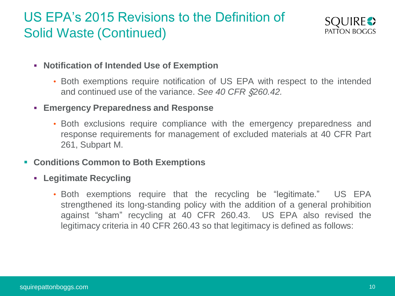

- **Notification of Intended Use of Exemption**
	- Both exemptions require notification of US EPA with respect to the intended and continued use of the variance. *See 40 CFR* §*260.42.*
- **Emergency Preparedness and Response**
	- Both exclusions require compliance with the emergency preparedness and response requirements for management of excluded materials at 40 CFR Part 261, Subpart M.
- **Conditions Common to Both Exemptions**
	- **Legitimate Recycling**
		- Both exemptions require that the recycling be "legitimate." US EPA strengthened its long-standing policy with the addition of a general prohibition against "sham" recycling at 40 CFR 260.43. US EPA also revised the legitimacy criteria in 40 CFR 260.43 so that legitimacy is defined as follows: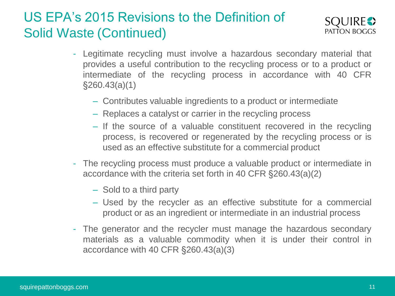

- Legitimate recycling must involve a hazardous secondary material that provides a useful contribution to the recycling process or to a product or intermediate of the recycling process in accordance with 40 CFR §260.43(a)(1)
	- Contributes valuable ingredients to a product or intermediate
	- Replaces a catalyst or carrier in the recycling process
	- If the source of a valuable constituent recovered in the recycling process, is recovered or regenerated by the recycling process or is used as an effective substitute for a commercial product
- The recycling process must produce a valuable product or intermediate in accordance with the criteria set forth in 40 CFR §260.43(a)(2)
	- Sold to a third party
	- Used by the recycler as an effective substitute for a commercial product or as an ingredient or intermediate in an industrial process
- The generator and the recycler must manage the hazardous secondary materials as a valuable commodity when it is under their control in accordance with 40 CFR §260.43(a)(3)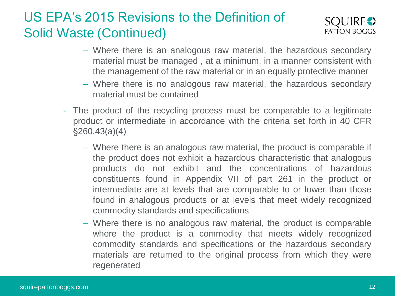

- Where there is an analogous raw material, the hazardous secondary material must be managed , at a minimum, in a manner consistent with the management of the raw material or in an equally protective manner
- Where there is no analogous raw material, the hazardous secondary material must be contained
- The product of the recycling process must be comparable to a legitimate product or intermediate in accordance with the criteria set forth in 40 CFR §260.43(a)(4)
	- Where there is an analogous raw material, the product is comparable if the product does not exhibit a hazardous characteristic that analogous products do not exhibit and the concentrations of hazardous constituents found in Appendix VII of part 261 in the product or intermediate are at levels that are comparable to or lower than those found in analogous products or at levels that meet widely recognized commodity standards and specifications
	- Where there is no analogous raw material, the product is comparable where the product is a commodity that meets widely recognized commodity standards and specifications or the hazardous secondary materials are returned to the original process from which they were regenerated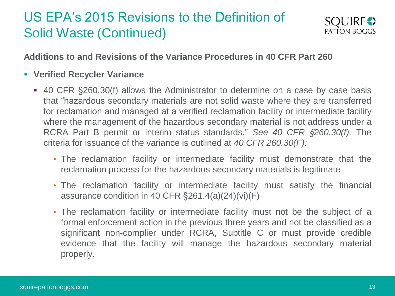

#### **Additions to and Revisions of the Variance Procedures in 40 CFR Part 260**

- **Verified Recycler Variance**
	- 40 CFR §260.30(f) allows the Administrator to determine on a case by case basis that "hazardous secondary materials are not solid waste where they are transferred for reclamation and managed at a verified reclamation facility or intermediate facility where the management of the hazardous secondary material is not address under a RCRA Part B permit or interim status standards." *See 40 CFR* §*260.30(f).* The criteria for issuance of the variance is outlined at *40 CFR 260.30(F):*
		- The reclamation facility or intermediate facility must demonstrate that the reclamation process for the hazardous secondary materials is legitimate
		- The reclamation facility or intermediate facility must satisfy the financial assurance condition in 40 CFR §261.4(a)(24)(vi)(F)
		- The reclamation facility or intermediate facility must not be the subject of a formal enforcement action in the previous three years and not be classified as a significant non-complier under RCRA, Subtitle C or must provide credible evidence that the facility will manage the hazardous secondary material properly.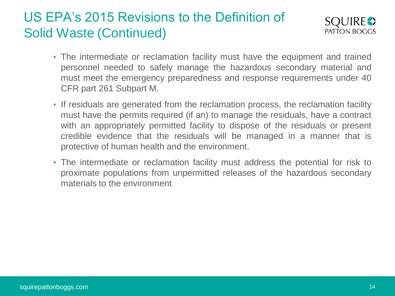

- The intermediate or reclamation facility must have the equipment and trained personnel needed to safely manage the hazardous secondary material and must meet the emergency preparedness and response requirements under 40 CFR part 261 Subpart M.
- If residuals are generated from the reclamation process, the reclamation facility must have the permits required (if an) to manage the residuals, have a contract with an appropriately permitted facility to dispose of the residuals or present credible evidence that the residuals will be managed in a manner that is protective of human health and the environment.
- The intermediate or reclamation facility must address the potential for risk to proximate populations from unpermitted releases of the hazardous secondary materials to the environment.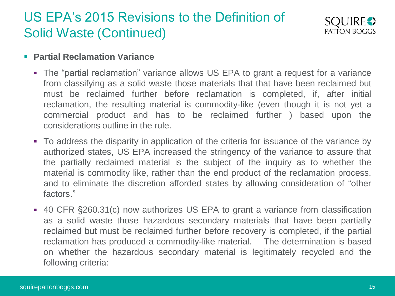

#### **Partial Reclamation Variance**

- The "partial reclamation" variance allows US EPA to grant a request for a variance from classifying as a solid waste those materials that that have been reclaimed but must be reclaimed further before reclamation is completed, if, after initial reclamation, the resulting material is commodity-like (even though it is not yet a commercial product and has to be reclaimed further ) based upon the considerations outline in the rule.
- To address the disparity in application of the criteria for issuance of the variance by authorized states, US EPA increased the stringency of the variance to assure that the partially reclaimed material is the subject of the inquiry as to whether the material is commodity like, rather than the end product of the reclamation process, and to eliminate the discretion afforded states by allowing consideration of "other factors."
- 40 CFR §260.31(c) now authorizes US EPA to grant a variance from classification as a solid waste those hazardous secondary materials that have been partially reclaimed but must be reclaimed further before recovery is completed, if the partial reclamation has produced a commodity-like material. The determination is based on whether the hazardous secondary material is legitimately recycled and the following criteria: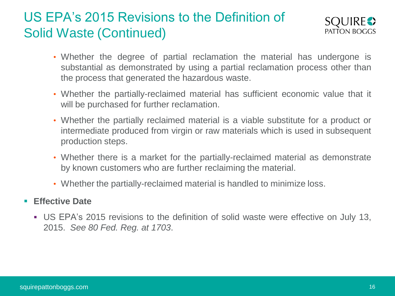

- Whether the degree of partial reclamation the material has undergone is substantial as demonstrated by using a partial reclamation process other than the process that generated the hazardous waste.
- Whether the partially-reclaimed material has sufficient economic value that it will be purchased for further reclamation.
- Whether the partially reclaimed material is a viable substitute for a product or intermediate produced from virgin or raw materials which is used in subsequent production steps.
- Whether there is a market for the partially-reclaimed material as demonstrate by known customers who are further reclaiming the material.
- Whether the partially-reclaimed material is handled to minimize loss.

#### **Effective Date**

 US EPA's 2015 revisions to the definition of solid waste were effective on July 13, 2015. *See 80 Fed. Reg. at 1703*.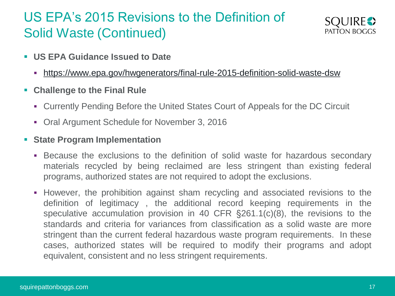

- **US EPA Guidance Issued to Date**
	- https://www.epa.gov/hwgenerators/final-rule-2015-definition-solid-waste-dsw
- **Challenge to the Final Rule**
	- Currently Pending Before the United States Court of Appeals for the DC Circuit
	- Oral Argument Schedule for November 3, 2016
- **State Program Implementation**
	- Because the exclusions to the definition of solid waste for hazardous secondary materials recycled by being reclaimed are less stringent than existing federal programs, authorized states are not required to adopt the exclusions.
	- However, the prohibition against sham recycling and associated revisions to the definition of legitimacy , the additional record keeping requirements in the speculative accumulation provision in 40 CFR §261.1(c)(8), the revisions to the standards and criteria for variances from classification as a solid waste are more stringent than the current federal hazardous waste program requirements. In these cases, authorized states will be required to modify their programs and adopt equivalent, consistent and no less stringent requirements.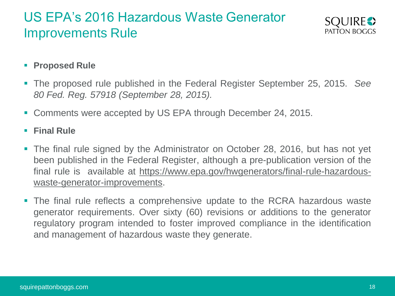

#### **Proposed Rule**

- The proposed rule published in the Federal Register September 25, 2015. *See 80 Fed. Reg. 57918 (September 28, 2015).*
- Comments were accepted by US EPA through December 24, 2015.

**Final Rule**

- The final rule signed by the Administrator on October 28, 2016, but has not yet been published in the Federal Register, although a pre-publication version of the final rule is available at https://www.epa.gov/hwgenerators/final-rule-hazardouswaste-generator-improvements.
- The final rule reflects a comprehensive update to the RCRA hazardous waste generator requirements. Over sixty (60) revisions or additions to the generator regulatory program intended to foster improved compliance in the identification and management of hazardous waste they generate.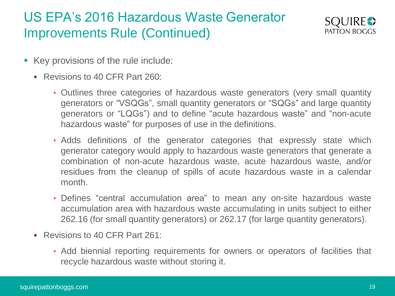

- Key provisions of the rule include:
	- Revisions to 40 CFR Part 260:
		- Outlines three categories of hazardous waste generators (very small quantity generators or "VSQGs", small quantity generators or "SQGs" and large quantity generators or "LQGs") and to define "acute hazardous waste" and "non-acute hazardous waste" for purposes of use in the definitions.
		- Adds definitions of the generator categories that expressly state which generator category would apply to hazardous waste generators that generate a combination of non-acute hazardous waste, acute hazardous waste, and/or residues from the cleanup of spills of acute hazardous waste in a calendar month.
		- Defines "central accumulation area" to mean any on-site hazardous waste accumulation area with hazardous waste accumulating in units subject to either 262.16 (for small quantity generators) or 262.17 (for large quantity generators).
	- Revisions to 40 CFR Part 261:
		- Add biennial reporting requirements for owners or operators of facilities that recycle hazardous waste without storing it.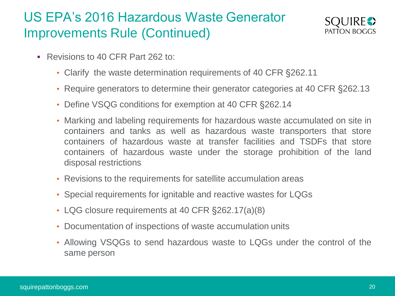

- Revisions to 40 CFR Part 262 to:
	- Clarify the waste determination requirements of 40 CFR §262.11
	- Require generators to determine their generator categories at 40 CFR §262.13
	- Define VSQG conditions for exemption at 40 CFR §262.14
	- Marking and labeling requirements for hazardous waste accumulated on site in containers and tanks as well as hazardous waste transporters that store containers of hazardous waste at transfer facilities and TSDFs that store containers of hazardous waste under the storage prohibition of the land disposal restrictions
	- Revisions to the requirements for satellite accumulation areas
	- Special requirements for ignitable and reactive wastes for LQGs
	- LQG closure requirements at 40 CFR §262.17(a)(8)
	- Documentation of inspections of waste accumulation units
	- Allowing VSQGs to send hazardous waste to LQGs under the control of the same person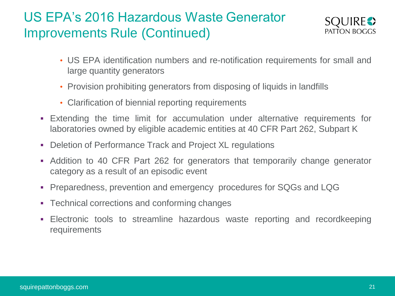

- US EPA identification numbers and re-notification requirements for small and large quantity generators
- Provision prohibiting generators from disposing of liquids in landfills
- Clarification of biennial reporting requirements
- Extending the time limit for accumulation under alternative requirements for laboratories owned by eligible academic entities at 40 CFR Part 262, Subpart K
- Deletion of Performance Track and Project XL regulations
- Addition to 40 CFR Part 262 for generators that temporarily change generator category as a result of an episodic event
- Preparedness, prevention and emergency procedures for SQGs and LQG
- Technical corrections and conforming changes
- Electronic tools to streamline hazardous waste reporting and recordkeeping requirements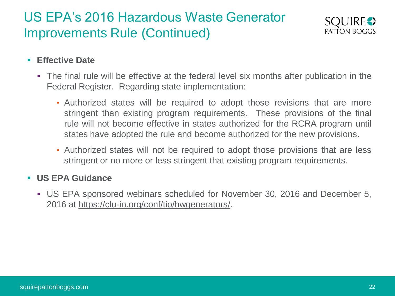

#### **Effective Date**

- The final rule will be effective at the federal level six months after publication in the Federal Register. Regarding state implementation:
	- Authorized states will be required to adopt those revisions that are more stringent than existing program requirements. These provisions of the final rule will not become effective in states authorized for the RCRA program until states have adopted the rule and become authorized for the new provisions.
	- Authorized states will not be required to adopt those provisions that are less stringent or no more or less stringent that existing program requirements.

#### **US EPA Guidance**

 US EPA sponsored webinars scheduled for November 30, 2016 and December 5, 2016 at https://clu-in.org/conf/tio/hwgenerators/.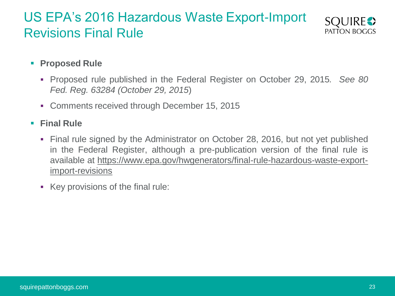#### US EPA's 2016 Hazardous Waste Export-Import Revisions Final Rule



#### **Proposed Rule**

- Proposed rule published in the Federal Register on October 29, 2015*. See 80 Fed. Reg. 63284 (October 29, 2015*)
- Comments received through December 15, 2015

#### **Final Rule**

- Final rule signed by the Administrator on October 28, 2016, but not yet published in the Federal Register, although a pre-publication version of the final rule is available at https://www.epa.gov/hwgenerators/final-rule-hazardous-waste-exportimport-revisions
- Key provisions of the final rule: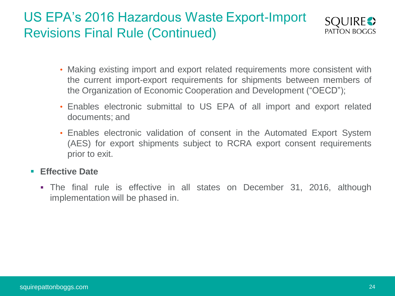# US EPA's 2016 Hazardous Waste Export-Import Revisions Final Rule (Continued)



- Making existing import and export related requirements more consistent with the current import-export requirements for shipments between members of the Organization of Economic Cooperation and Development ("OECD");
- Enables electronic submittal to US EPA of all import and export related documents; and
- Enables electronic validation of consent in the Automated Export System (AES) for export shipments subject to RCRA export consent requirements prior to exit.

#### **Effective Date**

 The final rule is effective in all states on December 31, 2016, although implementation will be phased in.